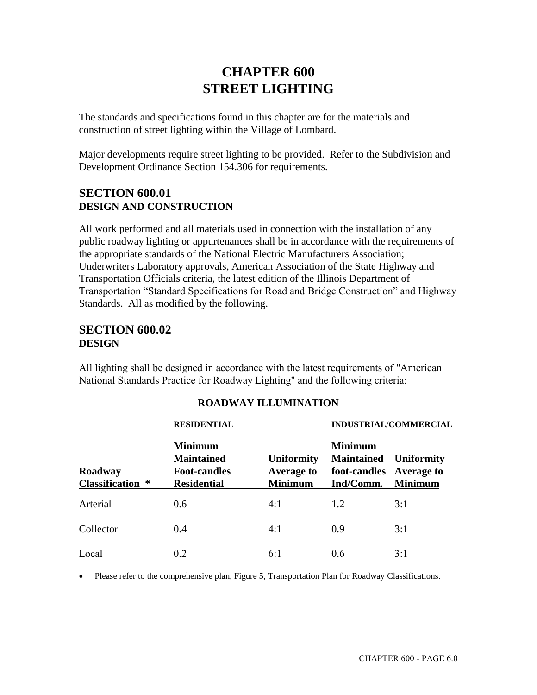# **CHAPTER 600 STREET LIGHTING**

The standards and specifications found in this chapter are for the materials and construction of street lighting within the Village of Lombard.

Major developments require street lighting to be provided. Refer to the Subdivision and Development Ordinance Section 154.306 for requirements.

### **SECTION 600.01 DESIGN AND CONSTRUCTION**

All work performed and all materials used in connection with the installation of any public roadway lighting or appurtenances shall be in accordance with the requirements of the appropriate standards of the National Electric Manufacturers Association; Underwriters Laboratory approvals, American Association of the State Highway and Transportation Officials criteria, the latest edition of the Illinois Department of Transportation "Standard Specifications for Road and Bridge Construction" and Highway Standards. All as modified by the following.

### **SECTION 600.02 DESIGN**

All lighting shall be designed in accordance with the latest requirements of "American National Standards Practice for Roadway Lighting" and the following criteria:

|                                    | <b>RESIDENTIAL</b>                                                               |                                                          | <b>INDUSTRIAL/COMMERCIAL</b>                                                |                                     |  |  |  |
|------------------------------------|----------------------------------------------------------------------------------|----------------------------------------------------------|-----------------------------------------------------------------------------|-------------------------------------|--|--|--|
| Roadway<br><b>Classification</b> * | <b>Minimum</b><br><b>Maintained</b><br><b>Foot-candles</b><br><b>Residential</b> | <b>Uniformity</b><br><b>Average to</b><br><b>Minimum</b> | <b>Minimum</b><br><b>Maintained</b><br>foot-candles Average to<br>Ind/Comm. | <b>Uniformity</b><br><b>Minimum</b> |  |  |  |
| Arterial                           | 0.6                                                                              | 4:1                                                      | 1.2                                                                         | 3:1                                 |  |  |  |
| Collector                          | 0.4                                                                              | 4:1                                                      | 0.9                                                                         | 3:1                                 |  |  |  |
| Local                              | 0.2                                                                              | 6:1                                                      | 0.6                                                                         | 3:1                                 |  |  |  |

### **ROADWAY ILLUMINATION**

• Please refer to the comprehensive plan, Figure 5, Transportation Plan for Roadway Classifications.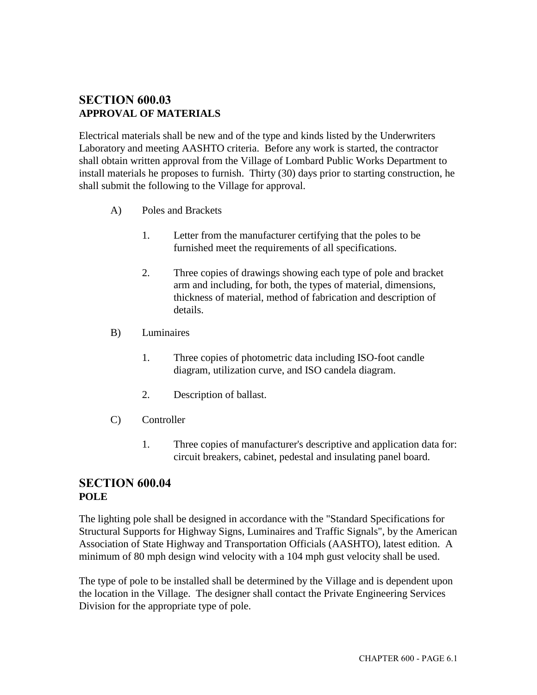### **SECTION 600.03 APPROVAL OF MATERIALS**

Electrical materials shall be new and of the type and kinds listed by the Underwriters Laboratory and meeting AASHTO criteria. Before any work is started, the contractor shall obtain written approval from the Village of Lombard Public Works Department to install materials he proposes to furnish. Thirty (30) days prior to starting construction, he shall submit the following to the Village for approval.

- A) Poles and Brackets
	- 1. Letter from the manufacturer certifying that the poles to be furnished meet the requirements of all specifications.
	- 2. Three copies of drawings showing each type of pole and bracket arm and including, for both, the types of material, dimensions, thickness of material, method of fabrication and description of details.
- B) Luminaires
	- 1. Three copies of photometric data including ISO-foot candle diagram, utilization curve, and ISO candela diagram.
	- 2. Description of ballast.
- C) Controller
	- 1. Three copies of manufacturer's descriptive and application data for: circuit breakers, cabinet, pedestal and insulating panel board.

### **SECTION 600.04 POLE**

The lighting pole shall be designed in accordance with the "Standard Specifications for Structural Supports for Highway Signs, Luminaires and Traffic Signals", by the American Association of State Highway and Transportation Officials (AASHTO), latest edition. A minimum of 80 mph design wind velocity with a 104 mph gust velocity shall be used.

The type of pole to be installed shall be determined by the Village and is dependent upon the location in the Village. The designer shall contact the Private Engineering Services Division for the appropriate type of pole.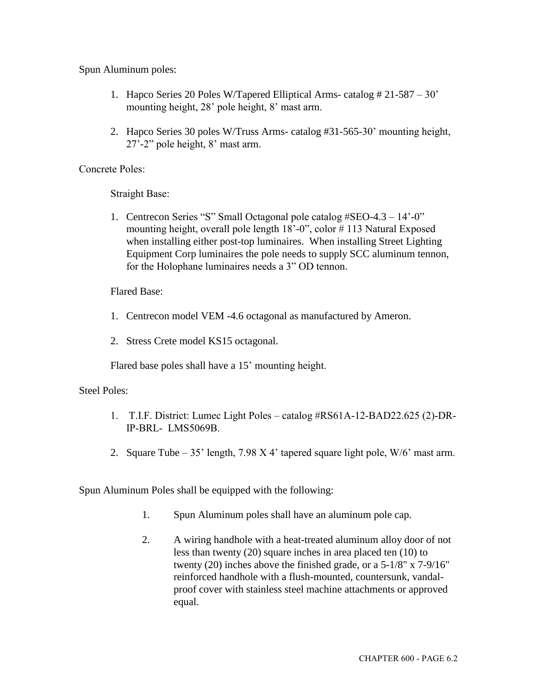Spun Aluminum poles:

- 1. Hapco Series 20 Poles W/Tapered Elliptical Arms- catalog # 21-587 30' mounting height, 28' pole height, 8' mast arm.
- 2. Hapco Series 30 poles W/Truss Arms- catalog #31-565-30' mounting height, 27'-2" pole height, 8' mast arm.

Concrete Poles:

Straight Base:

1. Centrecon Series "S" Small Octagonal pole catalog #SEO-4.3 – 14'-0" mounting height, overall pole length 18'-0", color # 113 Natural Exposed when installing either post-top luminaires. When installing Street Lighting Equipment Corp luminaires the pole needs to supply SCC aluminum tennon, for the Holophane luminaires needs a 3" OD tennon.

Flared Base:

- 1. Centrecon model VEM -4.6 octagonal as manufactured by Ameron.
- 2. Stress Crete model KS15 octagonal.

Flared base poles shall have a 15' mounting height.

Steel Poles:

- 1. T.I.F. District: Lumec Light Poles catalog #RS61A-12-BAD22.625 (2)-DR-IP-BRL- LMS5069B.
- 2. Square Tube 35' length, 7.98 X 4' tapered square light pole, W/6' mast arm.

Spun Aluminum Poles shall be equipped with the following:

- 1. Spun Aluminum poles shall have an aluminum pole cap.
- 2. A wiring handhole with a heat-treated aluminum alloy door of not less than twenty (20) square inches in area placed ten (10) to twenty (20) inches above the finished grade, or a 5-1/8" x 7-9/16" reinforced handhole with a flush-mounted, countersunk, vandalproof cover with stainless steel machine attachments or approved equal.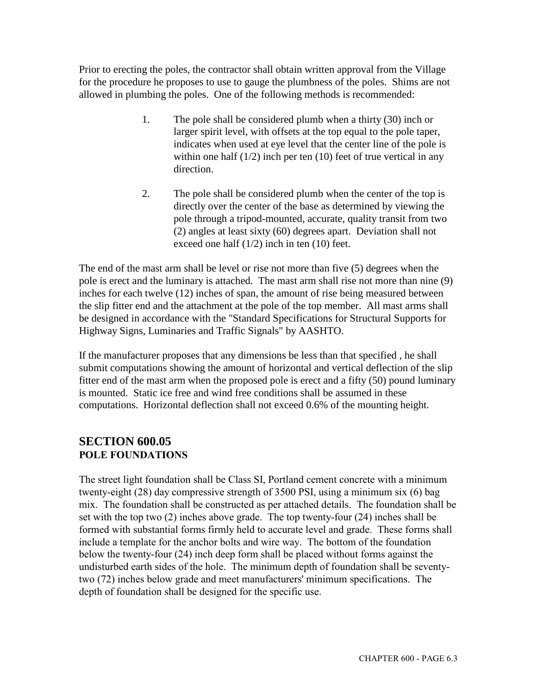Prior to erecting the poles, the contractor shall obtain written approval from the Village for the procedure he proposes to use to gauge the plumbness of the poles. Shims are not allowed in plumbing the poles. One of the following methods is recommended:

- 1. The pole shall be considered plumb when a thirty (30) inch or larger spirit level, with offsets at the top equal to the pole taper, indicates when used at eye level that the center line of the pole is within one half  $(1/2)$  inch per ten  $(10)$  feet of true vertical in any direction.
- 2. The pole shall be considered plumb when the center of the top is directly over the center of the base as determined by viewing the pole through a tripod-mounted, accurate, quality transit from two (2) angles at least sixty (60) degrees apart. Deviation shall not exceed one half (1/2) inch in ten (10) feet.

The end of the mast arm shall be level or rise not more than five (5) degrees when the pole is erect and the luminary is attached. The mast arm shall rise not more than nine (9) inches for each twelve (12) inches of span, the amount of rise being measured between the slip fitter end and the attachment at the pole of the top member. All mast arms shall be designed in accordance with the "Standard Specifications for Structural Supports for Highway Signs, Luminaries and Traffic Signals" by AASHTO.

If the manufacturer proposes that any dimensions be less than that specified , he shall submit computations showing the amount of horizontal and vertical deflection of the slip fitter end of the mast arm when the proposed pole is erect and a fifty (50) pound luminary is mounted. Static ice free and wind free conditions shall be assumed in these computations. Horizontal deflection shall not exceed 0.6% of the mounting height.

### **SECTION 600.05 POLE FOUNDATIONS**

The street light foundation shall be Class SI, Portland cement concrete with a minimum twenty-eight (28) day compressive strength of 3500 PSI, using a minimum six (6) bag mix. The foundation shall be constructed as per attached details. The foundation shall be set with the top two (2) inches above grade. The top twenty-four (24) inches shall be formed with substantial forms firmly held to accurate level and grade. These forms shall include a template for the anchor bolts and wire way. The bottom of the foundation below the twenty-four (24) inch deep form shall be placed without forms against the undisturbed earth sides of the hole. The minimum depth of foundation shall be seventytwo (72) inches below grade and meet manufacturers' minimum specifications. The depth of foundation shall be designed for the specific use.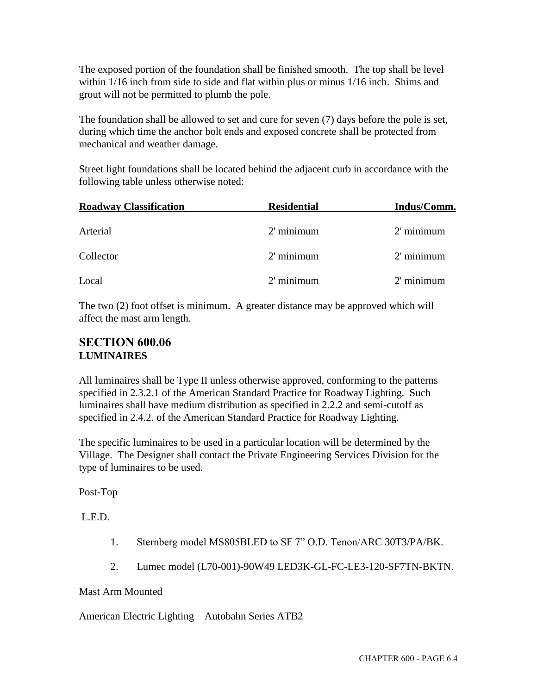The exposed portion of the foundation shall be finished smooth. The top shall be level within 1/16 inch from side to side and flat within plus or minus 1/16 inch. Shims and grout will not be permitted to plumb the pole.

The foundation shall be allowed to set and cure for seven (7) days before the pole is set, during which time the anchor bolt ends and exposed concrete shall be protected from mechanical and weather damage.

Street light foundations shall be located behind the adjacent curb in accordance with the following table unless otherwise noted:

| <b>Roadway Classification</b> | <b>Residential</b> | Indus/Comm.  |  |  |
|-------------------------------|--------------------|--------------|--|--|
| Arterial                      | $2'$ minimum       | $2'$ minimum |  |  |
| Collector                     | $2'$ minimum       | $2'$ minimum |  |  |
| Local                         | $2'$ minimum       | $2'$ minimum |  |  |

The two (2) foot offset is minimum. A greater distance may be approved which will affect the mast arm length.

### **SECTION 600.06 LUMINAIRES**

All luminaires shall be Type II unless otherwise approved, conforming to the patterns specified in 2.3.2.1 of the American Standard Practice for Roadway Lighting. Such luminaires shall have medium distribution as specified in 2.2.2 and semi-cutoff as specified in 2.4.2. of the American Standard Practice for Roadway Lighting.

The specific luminaires to be used in a particular location will be determined by the Village. The Designer shall contact the Private Engineering Services Division for the type of luminaires to be used.

Post-Top

L.E.D.

- 1. Sternberg model MS805BLED to SF 7" O.D. Tenon/ARC 30T3/PA/BK.
- 2. Lumec model (L70-001)-90W49 LED3K-GL-FC-LE3-120-SF7TN-BKTN.

#### Mast Arm Mounted

American Electric Lighting – Autobahn Series ATB2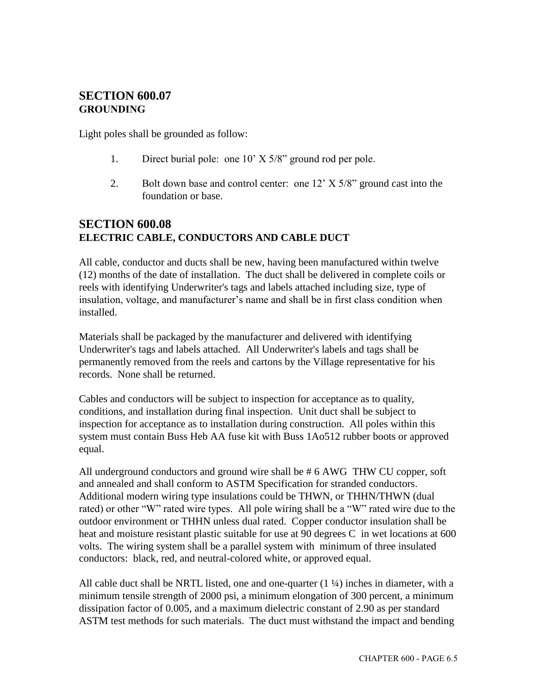#### **SECTION 600.07 GROUNDING**

Light poles shall be grounded as follow:

- 1. Direct burial pole: one 10' X 5/8" ground rod per pole.
- 2. Bolt down base and control center: one 12' X 5/8" ground cast into the foundation or base.

### **SECTION 600.08 ELECTRIC CABLE, CONDUCTORS AND CABLE DUCT**

All cable, conductor and ducts shall be new, having been manufactured within twelve (12) months of the date of installation. The duct shall be delivered in complete coils or reels with identifying Underwriter's tags and labels attached including size, type of insulation, voltage, and manufacturer's name and shall be in first class condition when installed.

Materials shall be packaged by the manufacturer and delivered with identifying Underwriter's tags and labels attached. All Underwriter's labels and tags shall be permanently removed from the reels and cartons by the Village representative for his records. None shall be returned.

Cables and conductors will be subject to inspection for acceptance as to quality, conditions, and installation during final inspection. Unit duct shall be subject to inspection for acceptance as to installation during construction. All poles within this system must contain Buss Heb AA fuse kit with Buss 1Ao512 rubber boots or approved equal.

All underground conductors and ground wire shall be # 6 AWG THW CU copper, soft and annealed and shall conform to ASTM Specification for stranded conductors. Additional modern wiring type insulations could be THWN, or THHN/THWN (dual rated) or other "W" rated wire types. All pole wiring shall be a "W" rated wire due to the outdoor environment or THHN unless dual rated. Copper conductor insulation shall be heat and moisture resistant plastic suitable for use at 90 degrees C in wet locations at 600 volts. The wiring system shall be a parallel system with minimum of three insulated conductors: black, red, and neutral-colored white, or approved equal.

All cable duct shall be NRTL listed, one and one-quarter  $(1\frac{1}{4})$  inches in diameter, with a minimum tensile strength of 2000 psi, a minimum elongation of 300 percent, a minimum dissipation factor of 0.005, and a maximum dielectric constant of 2.90 as per standard ASTM test methods for such materials. The duct must withstand the impact and bending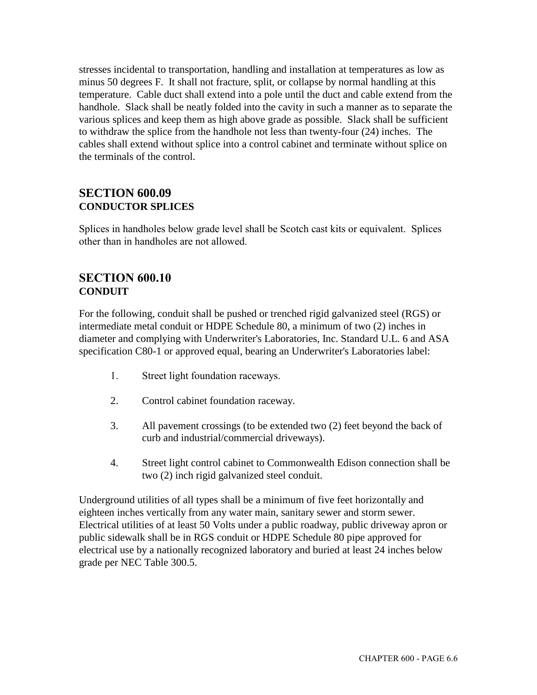stresses incidental to transportation, handling and installation at temperatures as low as minus 50 degrees F. It shall not fracture, split, or collapse by normal handling at this temperature. Cable duct shall extend into a pole until the duct and cable extend from the handhole. Slack shall be neatly folded into the cavity in such a manner as to separate the various splices and keep them as high above grade as possible. Slack shall be sufficient to withdraw the splice from the handhole not less than twenty-four (24) inches. The cables shall extend without splice into a control cabinet and terminate without splice on the terminals of the control.

#### **SECTION 600.09 CONDUCTOR SPLICES**

Splices in handholes below grade level shall be Scotch cast kits or equivalent. Splices other than in handholes are not allowed.

### **SECTION 600.10 CONDUIT**

For the following, conduit shall be pushed or trenched rigid galvanized steel (RGS) or intermediate metal conduit or HDPE Schedule 80, a minimum of two (2) inches in diameter and complying with Underwriter's Laboratories, Inc. Standard U.L. 6 and ASA specification C80-1 or approved equal, bearing an Underwriter's Laboratories label:

- 1. Street light foundation raceways.
- 2. Control cabinet foundation raceway.
- 3. All pavement crossings (to be extended two (2) feet beyond the back of curb and industrial/commercial driveways).
- 4. Street light control cabinet to Commonwealth Edison connection shall be two (2) inch rigid galvanized steel conduit.

Underground utilities of all types shall be a minimum of five feet horizontally and eighteen inches vertically from any water main, sanitary sewer and storm sewer. Electrical utilities of at least 50 Volts under a public roadway, public driveway apron or public sidewalk shall be in RGS conduit or HDPE Schedule 80 pipe approved for electrical use by a nationally recognized laboratory and buried at least 24 inches below grade per NEC Table 300.5.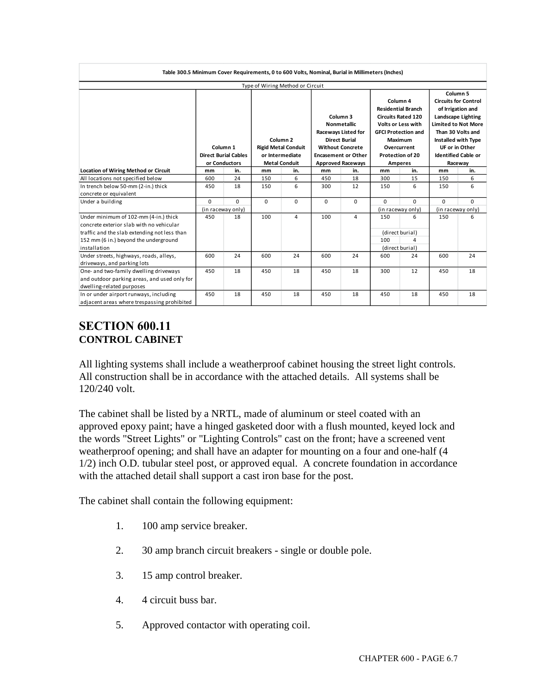| Table 300.5 Minimum Cover Requirements, 0 to 600 Volts, Nominal, Burial in Millimeters (Inches) |                                                                                                                       |          |                                  |                            |                                                                         |                            |                                                                                                                               |                   |                                                                                                                                  |                     |
|-------------------------------------------------------------------------------------------------|-----------------------------------------------------------------------------------------------------------------------|----------|----------------------------------|----------------------------|-------------------------------------------------------------------------|----------------------------|-------------------------------------------------------------------------------------------------------------------------------|-------------------|----------------------------------------------------------------------------------------------------------------------------------|---------------------|
|                                                                                                 |                                                                                                                       |          | Type of Wiring Method or Circuit |                            |                                                                         |                            |                                                                                                                               |                   |                                                                                                                                  |                     |
|                                                                                                 |                                                                                                                       |          |                                  |                            |                                                                         |                            |                                                                                                                               |                   |                                                                                                                                  | Column <sub>5</sub> |
|                                                                                                 |                                                                                                                       |          |                                  |                            | Column <sub>3</sub><br><b>Nonmetallic</b><br><b>Raceways Listed for</b> |                            | Column 4<br><b>Residential Branch</b><br><b>Circuits Rated 120</b><br><b>Volts or Less with</b><br><b>GFCI Protection and</b> |                   | <b>Circuits for Control</b><br>of Irrigation and<br><b>Landscape Lighting</b><br><b>Limited to Not More</b><br>Than 30 Volts and |                     |
|                                                                                                 |                                                                                                                       |          |                                  | Column <sub>2</sub>        |                                                                         | <b>Direct Burial</b>       |                                                                                                                               | Maximum           |                                                                                                                                  | Installed with Type |
|                                                                                                 |                                                                                                                       | Column 1 |                                  | <b>Rigid Metal Conduit</b> |                                                                         | <b>Without Concrete</b>    |                                                                                                                               | Overcurrent       |                                                                                                                                  | UF or in Other      |
|                                                                                                 | <b>Direct Burial Cables</b><br>or Intermediate<br><b>Encasement or Other</b><br><b>Metal Conduit</b><br>or Conductors |          |                                  | <b>Protection of 20</b>    |                                                                         | <b>Identified Cable or</b> |                                                                                                                               |                   |                                                                                                                                  |                     |
|                                                                                                 |                                                                                                                       | in.      |                                  | in.                        | <b>Approved Raceways</b>                                                |                            | Amperes                                                                                                                       |                   | Raceway                                                                                                                          |                     |
| <b>Location of Wiring Method or Circuit</b>                                                     | mm<br>600                                                                                                             | 24       | mm<br>150                        | 6                          | mm<br>450                                                               | in.<br>18                  | mm<br>300                                                                                                                     | in.<br>15         | mm<br>150                                                                                                                        | in.<br>6            |
| All locations not specified below                                                               |                                                                                                                       |          |                                  |                            |                                                                         |                            |                                                                                                                               |                   |                                                                                                                                  |                     |
| In trench below 50-mm (2-in.) thick<br>concrete or equivalent                                   | 450                                                                                                                   | 18       | 150                              | 6                          | 300                                                                     | 12                         | 150                                                                                                                           | 6                 | 150                                                                                                                              | 6                   |
| Under a building                                                                                | $\Omega$                                                                                                              | $\Omega$ | $\mathbf 0$                      | $\mathbf 0$                | $\mathbf 0$                                                             | $\Omega$                   | $\Omega$                                                                                                                      | $\Omega$          | 0                                                                                                                                | $\Omega$            |
|                                                                                                 | (in raceway only)                                                                                                     |          |                                  |                            |                                                                         | (in raceway only)          |                                                                                                                               | (in raceway only) |                                                                                                                                  |                     |
| Under minimum of 102-mm (4-in.) thick<br>concrete exterior slab with no vehicular               | 450                                                                                                                   | 18       | 100                              | 4                          | 100                                                                     | 4                          | 150                                                                                                                           | 6                 | 150                                                                                                                              | 6                   |
| traffic and the slab extending not less than                                                    |                                                                                                                       |          |                                  |                            | (direct burial)                                                         |                            |                                                                                                                               |                   |                                                                                                                                  |                     |
| 152 mm (6 in.) beyond the underground                                                           |                                                                                                                       |          |                                  |                            |                                                                         |                            | 100                                                                                                                           | $\overline{4}$    |                                                                                                                                  |                     |
| installation                                                                                    |                                                                                                                       |          |                                  |                            |                                                                         |                            | (direct burial)                                                                                                               |                   |                                                                                                                                  |                     |
| Under streets, highways, roads, alleys,                                                         | 600                                                                                                                   | 24       | 600                              | 24                         | 600                                                                     | 24                         | 600                                                                                                                           | 24                | 600                                                                                                                              | 24                  |
| driveways, and parking lots                                                                     |                                                                                                                       |          |                                  |                            |                                                                         |                            |                                                                                                                               |                   |                                                                                                                                  |                     |
| One- and two-family dwelling driveways                                                          | 450                                                                                                                   | 18       | 450                              | 18                         | 450                                                                     | 18                         | 300                                                                                                                           | 12                | 450                                                                                                                              | 18                  |
| and outdoor parking areas, and used only for                                                    |                                                                                                                       |          |                                  |                            |                                                                         |                            |                                                                                                                               |                   |                                                                                                                                  |                     |
| dwelling-related purposes                                                                       |                                                                                                                       |          |                                  |                            |                                                                         |                            |                                                                                                                               |                   |                                                                                                                                  |                     |
| In or under airport runways, including<br>adjacent areas where trespassing prohibited           | 450                                                                                                                   | 18       | 450                              | 18                         | 450                                                                     | 18                         | 450                                                                                                                           | 18                | 450                                                                                                                              | 18                  |

### **SECTION 600.11 CONTROL CABINET**

All lighting systems shall include a weatherproof cabinet housing the street light controls. All construction shall be in accordance with the attached details. All systems shall be 120/240 volt.

The cabinet shall be listed by a NRTL, made of aluminum or steel coated with an approved epoxy paint; have a hinged gasketed door with a flush mounted, keyed lock and the words "Street Lights" or "Lighting Controls" cast on the front; have a screened vent weatherproof opening; and shall have an adapter for mounting on a four and one-half (4 1/2) inch O.D. tubular steel post, or approved equal. A concrete foundation in accordance with the attached detail shall support a cast iron base for the post.

The cabinet shall contain the following equipment:

- 1. 100 amp service breaker.
- 2. 30 amp branch circuit breakers single or double pole.
- 3. 15 amp control breaker.
- 4. 4 circuit buss bar.
- 5. Approved contactor with operating coil.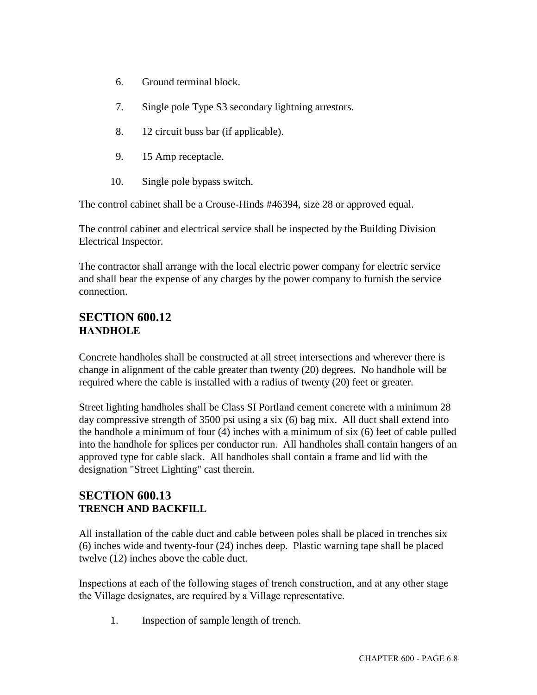- 6. Ground terminal block.
- 7. Single pole Type S3 secondary lightning arrestors.
- 8. 12 circuit buss bar (if applicable).
- 9. 15 Amp receptacle.
- 10. Single pole bypass switch.

The control cabinet shall be a Crouse-Hinds #46394, size 28 or approved equal.

The control cabinet and electrical service shall be inspected by the Building Division Electrical Inspector.

The contractor shall arrange with the local electric power company for electric service and shall bear the expense of any charges by the power company to furnish the service connection.

### **SECTION 600.12 HANDHOLE**

Concrete handholes shall be constructed at all street intersections and wherever there is change in alignment of the cable greater than twenty (20) degrees. No handhole will be required where the cable is installed with a radius of twenty (20) feet or greater.

Street lighting handholes shall be Class SI Portland cement concrete with a minimum 28 day compressive strength of 3500 psi using a six (6) bag mix. All duct shall extend into the handhole a minimum of four (4) inches with a minimum of six (6) feet of cable pulled into the handhole for splices per conductor run. All handholes shall contain hangers of an approved type for cable slack. All handholes shall contain a frame and lid with the designation "Street Lighting" cast therein.

### **SECTION 600.13 TRENCH AND BACKFILL**

All installation of the cable duct and cable between poles shall be placed in trenches six (6) inches wide and twenty-four (24) inches deep. Plastic warning tape shall be placed twelve (12) inches above the cable duct.

Inspections at each of the following stages of trench construction, and at any other stage the Village designates, are required by a Village representative.

1. Inspection of sample length of trench.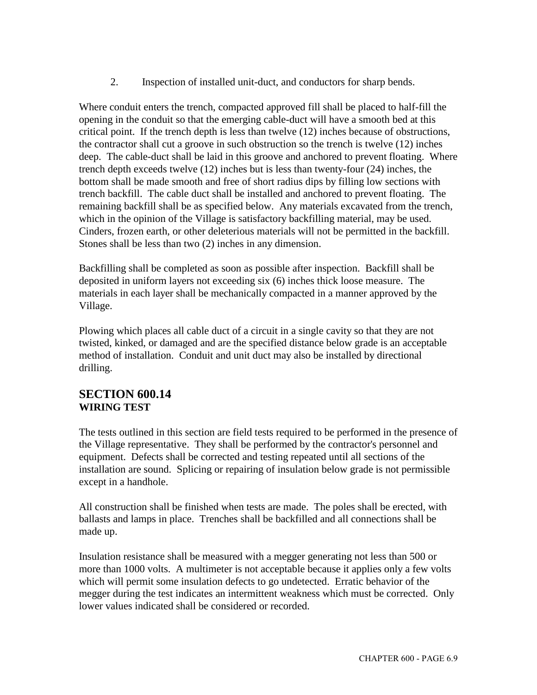2. Inspection of installed unit-duct, and conductors for sharp bends.

Where conduit enters the trench, compacted approved fill shall be placed to half-fill the opening in the conduit so that the emerging cable-duct will have a smooth bed at this critical point. If the trench depth is less than twelve (12) inches because of obstructions, the contractor shall cut a groove in such obstruction so the trench is twelve (12) inches deep. The cable-duct shall be laid in this groove and anchored to prevent floating. Where trench depth exceeds twelve (12) inches but is less than twenty-four (24) inches, the bottom shall be made smooth and free of short radius dips by filling low sections with trench backfill. The cable duct shall be installed and anchored to prevent floating. The remaining backfill shall be as specified below. Any materials excavated from the trench, which in the opinion of the Village is satisfactory backfilling material, may be used. Cinders, frozen earth, or other deleterious materials will not be permitted in the backfill. Stones shall be less than two (2) inches in any dimension.

Backfilling shall be completed as soon as possible after inspection. Backfill shall be deposited in uniform layers not exceeding six (6) inches thick loose measure. The materials in each layer shall be mechanically compacted in a manner approved by the Village.

Plowing which places all cable duct of a circuit in a single cavity so that they are not twisted, kinked, or damaged and are the specified distance below grade is an acceptable method of installation. Conduit and unit duct may also be installed by directional drilling.

### **SECTION 600.14 WIRING TEST**

The tests outlined in this section are field tests required to be performed in the presence of the Village representative. They shall be performed by the contractor's personnel and equipment. Defects shall be corrected and testing repeated until all sections of the installation are sound. Splicing or repairing of insulation below grade is not permissible except in a handhole.

All construction shall be finished when tests are made. The poles shall be erected, with ballasts and lamps in place. Trenches shall be backfilled and all connections shall be made up.

Insulation resistance shall be measured with a megger generating not less than 500 or more than 1000 volts. A multimeter is not acceptable because it applies only a few volts which will permit some insulation defects to go undetected. Erratic behavior of the megger during the test indicates an intermittent weakness which must be corrected. Only lower values indicated shall be considered or recorded.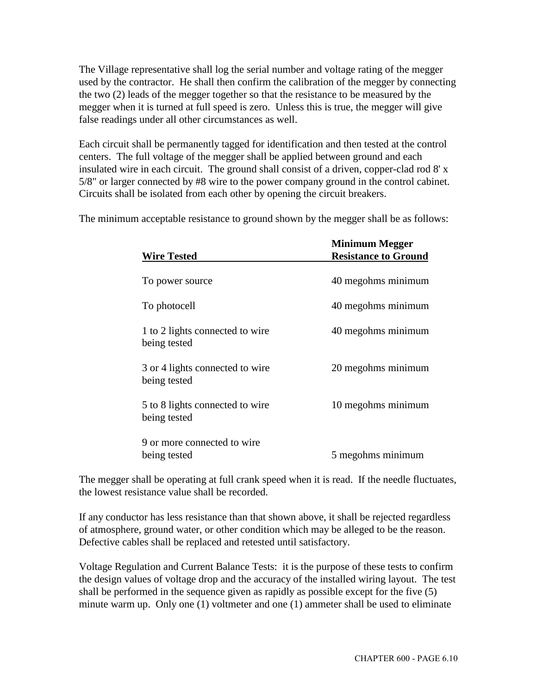The Village representative shall log the serial number and voltage rating of the megger used by the contractor. He shall then confirm the calibration of the megger by connecting the two (2) leads of the megger together so that the resistance to be measured by the megger when it is turned at full speed is zero. Unless this is true, the megger will give false readings under all other circumstances as well.

Each circuit shall be permanently tagged for identification and then tested at the control centers. The full voltage of the megger shall be applied between ground and each insulated wire in each circuit. The ground shall consist of a driven, copper-clad rod 8' x 5/8" or larger connected by #8 wire to the power company ground in the control cabinet. Circuits shall be isolated from each other by opening the circuit breakers.

The minimum acceptable resistance to ground shown by the megger shall be as follows:

|                                                 | <b>Minimum Megger</b>       |
|-------------------------------------------------|-----------------------------|
| <b>Wire Tested</b>                              | <b>Resistance to Ground</b> |
| To power source                                 | 40 megohms minimum          |
| To photocell                                    | 40 megohms minimum          |
| 1 to 2 lights connected to wire<br>being tested | 40 megohms minimum          |
| 3 or 4 lights connected to wire<br>being tested | 20 megohms minimum          |
| 5 to 8 lights connected to wire<br>being tested | 10 megohms minimum          |
| 9 or more connected to wire<br>being tested     | 5 megohms minimum           |

The megger shall be operating at full crank speed when it is read. If the needle fluctuates, the lowest resistance value shall be recorded.

If any conductor has less resistance than that shown above, it shall be rejected regardless of atmosphere, ground water, or other condition which may be alleged to be the reason. Defective cables shall be replaced and retested until satisfactory.

Voltage Regulation and Current Balance Tests: it is the purpose of these tests to confirm the design values of voltage drop and the accuracy of the installed wiring layout. The test shall be performed in the sequence given as rapidly as possible except for the five (5) minute warm up. Only one (1) voltmeter and one (1) ammeter shall be used to eliminate